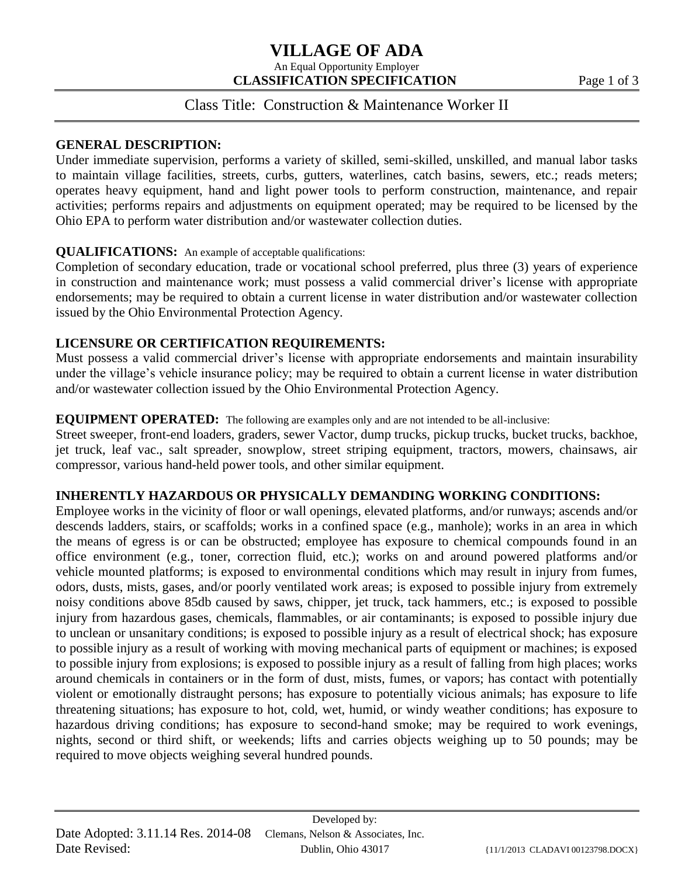# **VILLAGE OF ADA**

An Equal Opportunity Employer **CLASSIFICATION SPECIFICATION** Page 1 of 3

## Class Title: Construction & Maintenance Worker II

#### **GENERAL DESCRIPTION:**

Under immediate supervision, performs a variety of skilled, semi-skilled, unskilled, and manual labor tasks to maintain village facilities, streets, curbs, gutters, waterlines, catch basins, sewers, etc.; reads meters; operates heavy equipment, hand and light power tools to perform construction, maintenance, and repair activities; performs repairs and adjustments on equipment operated; may be required to be licensed by the Ohio EPA to perform water distribution and/or wastewater collection duties.

### **QUALIFICATIONS:** An example of acceptable qualifications:

Completion of secondary education, trade or vocational school preferred, plus three (3) years of experience in construction and maintenance work; must possess a valid commercial driver's license with appropriate endorsements; may be required to obtain a current license in water distribution and/or wastewater collection issued by the Ohio Environmental Protection Agency.

### **LICENSURE OR CERTIFICATION REQUIREMENTS:**

Must possess a valid commercial driver's license with appropriate endorsements and maintain insurability under the village's vehicle insurance policy; may be required to obtain a current license in water distribution and/or wastewater collection issued by the Ohio Environmental Protection Agency.

### **EQUIPMENT OPERATED:** The following are examples only and are not intended to be all-inclusive:

Street sweeper, front-end loaders, graders, sewer Vactor, dump trucks, pickup trucks, bucket trucks, backhoe, jet truck, leaf vac., salt spreader, snowplow, street striping equipment, tractors, mowers, chainsaws, air compressor, various hand-held power tools, and other similar equipment.

### **INHERENTLY HAZARDOUS OR PHYSICALLY DEMANDING WORKING CONDITIONS:**

Employee works in the vicinity of floor or wall openings, elevated platforms, and/or runways; ascends and/or descends ladders, stairs, or scaffolds; works in a confined space (e.g., manhole); works in an area in which the means of egress is or can be obstructed; employee has exposure to chemical compounds found in an office environment (e.g., toner, correction fluid, etc.); works on and around powered platforms and/or vehicle mounted platforms; is exposed to environmental conditions which may result in injury from fumes, odors, dusts, mists, gases, and/or poorly ventilated work areas; is exposed to possible injury from extremely noisy conditions above 85db caused by saws, chipper, jet truck, tack hammers, etc.; is exposed to possible injury from hazardous gases, chemicals, flammables, or air contaminants; is exposed to possible injury due to unclean or unsanitary conditions; is exposed to possible injury as a result of electrical shock; has exposure to possible injury as a result of working with moving mechanical parts of equipment or machines; is exposed to possible injury from explosions; is exposed to possible injury as a result of falling from high places; works around chemicals in containers or in the form of dust, mists, fumes, or vapors; has contact with potentially violent or emotionally distraught persons; has exposure to potentially vicious animals; has exposure to life threatening situations; has exposure to hot, cold, wet, humid, or windy weather conditions; has exposure to hazardous driving conditions; has exposure to second-hand smoke; may be required to work evenings, nights, second or third shift, or weekends; lifts and carries objects weighing up to 50 pounds; may be required to move objects weighing several hundred pounds.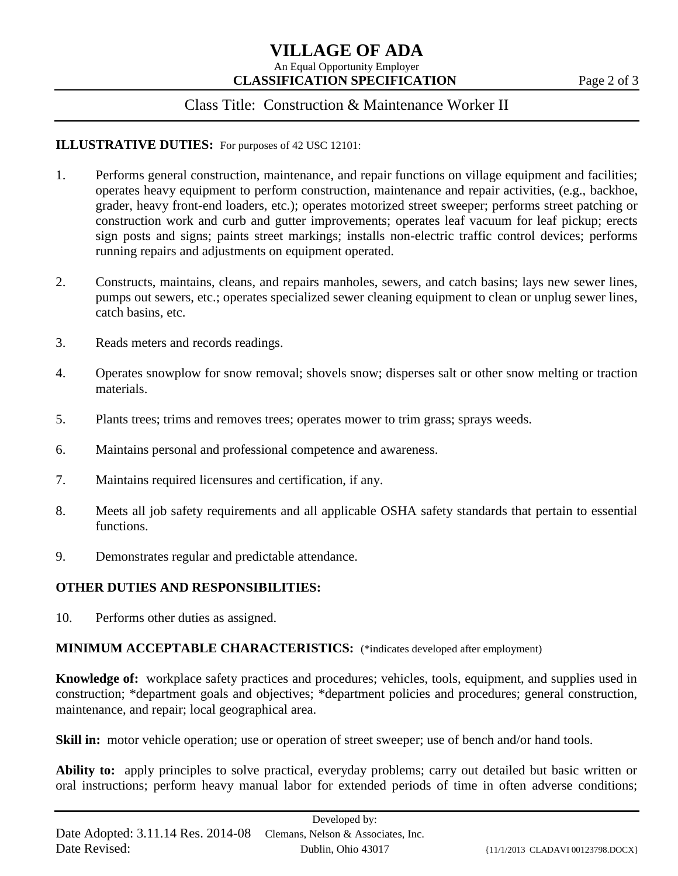# **VILLAGE OF ADA**

An Equal Opportunity Employer **CLASSIFICATION SPECIFICATION** Page 2 of 3

### Class Title: Construction & Maintenance Worker II

### **ILLUSTRATIVE DUTIES:** For purposes of 42 USC 12101:

- 1. Performs general construction, maintenance, and repair functions on village equipment and facilities; operates heavy equipment to perform construction, maintenance and repair activities, (e.g., backhoe, grader, heavy front-end loaders, etc.); operates motorized street sweeper; performs street patching or construction work and curb and gutter improvements; operates leaf vacuum for leaf pickup; erects sign posts and signs; paints street markings; installs non-electric traffic control devices; performs running repairs and adjustments on equipment operated.
- 2. Constructs, maintains, cleans, and repairs manholes, sewers, and catch basins; lays new sewer lines, pumps out sewers, etc.; operates specialized sewer cleaning equipment to clean or unplug sewer lines, catch basins, etc.
- 3. Reads meters and records readings.
- 4. Operates snowplow for snow removal; shovels snow; disperses salt or other snow melting or traction materials.
- 5. Plants trees; trims and removes trees; operates mower to trim grass; sprays weeds.
- 6. Maintains personal and professional competence and awareness.
- 7. Maintains required licensures and certification, if any.
- 8. Meets all job safety requirements and all applicable OSHA safety standards that pertain to essential functions.
- 9. Demonstrates regular and predictable attendance.

### **OTHER DUTIES AND RESPONSIBILITIES:**

10. Performs other duties as assigned.

### **MINIMUM ACCEPTABLE CHARACTERISTICS:** (\*indicates developed after employment)

**Knowledge of:** workplace safety practices and procedures; vehicles, tools, equipment, and supplies used in construction; \*department goals and objectives; \*department policies and procedures; general construction, maintenance, and repair; local geographical area.

**Skill in:** motor vehicle operation; use or operation of street sweeper; use of bench and/or hand tools.

**Ability to:** apply principles to solve practical, everyday problems; carry out detailed but basic written or oral instructions; perform heavy manual labor for extended periods of time in often adverse conditions;